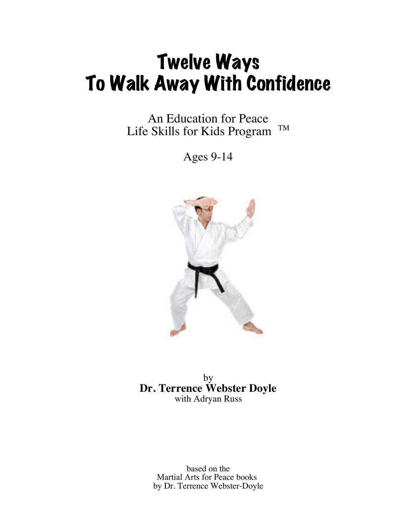# Twelve Ways To Walk Away With Confidence

An Education for Peace Life Skills for Kids Program TM

Ages 9-14



by **Dr. Terrence Webster Doyle** with Adryan Russ

> based on the Martial Arts for Peace books by Dr. Terrence Webster-Doyle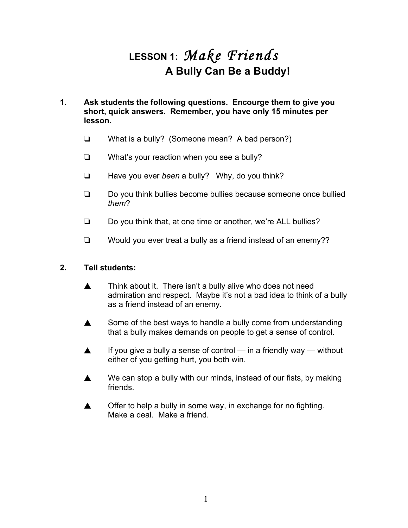## **LESSON 1:** *Make Friends* **A Bully Can Be a Buddy!**

- **1. Ask students the following questions. Encourge them to give you short, quick answers. Remember, you have only 15 minutes per lesson.**
	- ❏ What is a bully? (Someone mean? A bad person?)
	- ❏ What's your reaction when you see a bully?
	- ❏ Have you ever *been* a bully? Why, do you think?
	- ❏ Do you think bullies become bullies because someone once bullied *them*?
	- ❏ Do you think that, at one time or another, we're ALL bullies?
	- ❏ Would you ever treat a bully as a friend instead of an enemy??

- ▲ Think about it. There isn't a bully alive who does not need admiration and respect. Maybe it's not a bad idea to think of a bully as a friend instead of an enemy.
- ▲ Some of the best ways to handle a bully come from understanding that a bully makes demands on people to get a sense of control.
- ▲ If you give a bully a sense of control in a friendly way without either of you getting hurt, you both win.
- $\triangle$  We can stop a bully with our minds, instead of our fists, by making friends.
- ▲ Offer to help a bully in some way, in exchange for no fighting. Make a deal. Make a friend.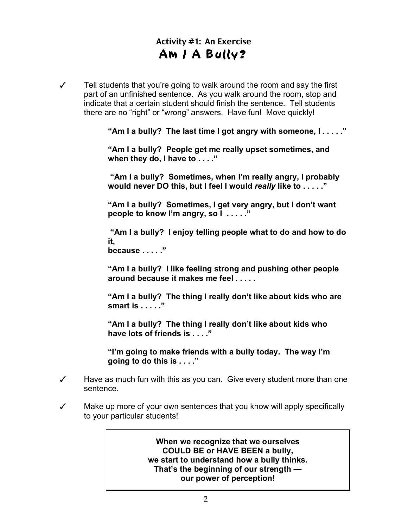### Activity #1: An Exercise Am / A Bully?

✓ Tell students that you're going to walk around the room and say the first part of an unfinished sentence. As you walk around the room, stop and indicate that a certain student should finish the sentence. Tell students there are no "right" or "wrong" answers. Have fun! Move quickly!

**"Am I a bully? The last time I got angry with someone, I . . . . ."**

**"Am I a bully? People get me really upset sometimes, and when they do, I have to . . . ."**

 **"Am I a bully? Sometimes, when I'm really angry, I probably would never DO this, but I feel I would** *really* **like to . . . . ."**

**"Am I a bully? Sometimes, I get very angry, but I don't want people to know I'm angry, so I . . . . ."**

 **"Am I a bully? I enjoy telling people what to do and how to do it, because . . . . ."**

**"Am I a bully? I like feeling strong and pushing other people around because it makes me feel . . . . .**

**"Am I a bully? The thing I really don't like about kids who are smart is . . . . ."**

**"Am I a bully? The thing I really don't like about kids who have lots of friends is . . . ."**

**"I'm going to make friends with a bully today. The way I'm going to do this is . . . ."**

- ✓ Have as much fun with this as you can. Give every student more than one sentence.
- ✓ Make up more of your own sentences that you know will apply specifically to your particular students!

**When we recognize that we ourselves COULD BE or HAVE BEEN a bully, we start to understand how a bully thinks. That's the beginning of our strength our power of perception!**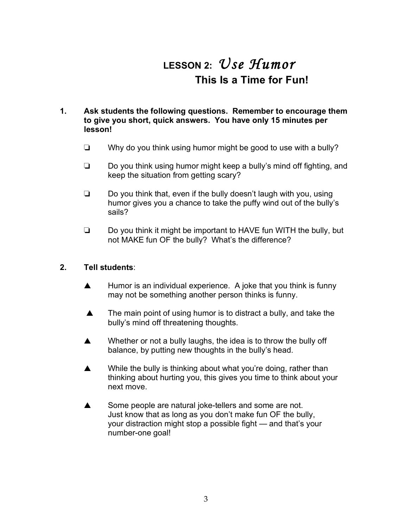## **LESSON 2:** *Use Humor* **This Is a Time for Fun!**

### **1. Ask students the following questions. Remember to encourage them to give you short, quick answers. You have only 15 minutes per lesson!**

- ❏ Why do you think using humor might be good to use with a bully?
- ❏ Do you think using humor might keep a bully's mind off fighting, and keep the situation from getting scary?
- ❏ Do you think that, even if the bully doesn't laugh with you, using humor gives you a chance to take the puffy wind out of the bully's sails?
- ❏ Do you think it might be important to HAVE fun WITH the bully, but not MAKE fun OF the bully? What's the difference?

- ▲ Humor is an individual experience. A joke that you think is funny may not be something another person thinks is funny.
- ▲ The main point of using humor is to distract a bully, and take the bully's mind off threatening thoughts.
- ▲ Whether or not a bully laughs, the idea is to throw the bully off balance, by putting new thoughts in the bully's head.
- ▲ While the bully is thinking about what you're doing, rather than thinking about hurting you, this gives you time to think about your next move.
- ▲ Some people are natural joke-tellers and some are not. Just know that as long as you don't make fun OF the bully, your distraction might stop a possible fight — and that's your number-one goal!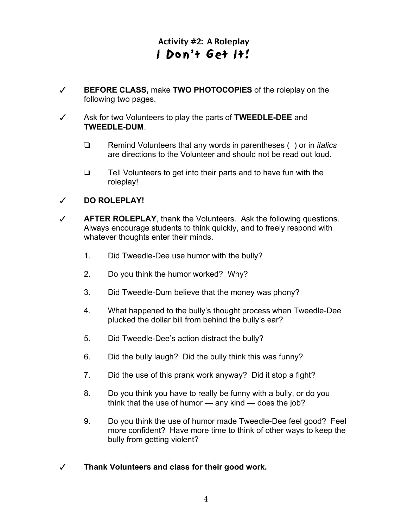### Activity #2: A Roleplay I Don't Get It!

- ✓ **BEFORE CLASS,** make **TWO PHOTOCOPIES** of the roleplay on the following two pages.
- ✓ Ask for two Volunteers to play the parts of **TWEEDLE-DEE** and **TWEEDLE-DUM**.
	- ❏ Remind Volunteers that any word*s* in parentheses ( ) or in *italics*  are directions to the Volunteer and should not be read out loud.
	- ❏ Tell Volunteers to get into their parts and to have fun with the roleplay!

### ✓ **DO ROLEPLAY!**

- ✓ **AFTER ROLEPLAY**, thank the Volunteers. Ask the following questions. Always encourage students to think quickly, and to freely respond with whatever thoughts enter their minds.
	- 1. Did Tweedle-Dee use humor with the bully?
	- 2. Do you think the humor worked? Why?
	- 3. Did Tweedle-Dum believe that the money was phony?
	- 4. What happened to the bully's thought process when Tweedle-Dee plucked the dollar bill from behind the bully's ear?
	- 5. Did Tweedle-Dee's action distract the bully?
	- 6. Did the bully laugh? Did the bully think this was funny?
	- 7. Did the use of this prank work anyway? Did it stop a fight?
	- 8. Do you think you have to really be funny with a bully, or do you think that the use of humor — any kind — does the job?
	- 9. Do you think the use of humor made Tweedle-Dee feel good? Feel more confident? Have more time to think of other ways to keep the bully from getting violent?

### ✓ **Thank Volunteers and class for their good work.**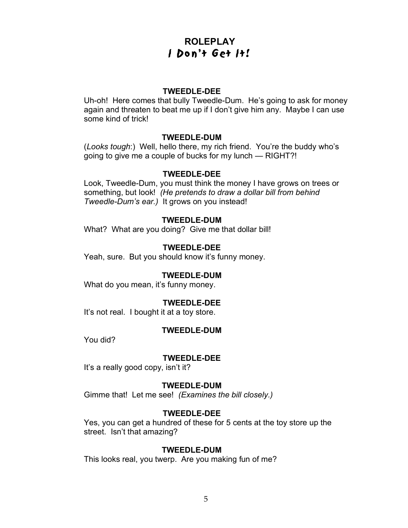### **ROLEPLAY** I Don't Get It!

### **TWEEDLE-DEE**

Uh-oh! Here comes that bully Tweedle-Dum. He's going to ask for money again and threaten to beat me up if I don't give him any. Maybe I can use some kind of trick!

### **TWEEDLE-DUM**

(*Looks tough*:) Well, hello there, my rich friend. You're the buddy who's going to give me a couple of bucks for my lunch — RIGHT?!

### **TWEEDLE-DEE**

Look, Tweedle-Dum, you must think the money I have grows on trees or something, but look! *(He pretends to draw a dollar bill from behind Tweedle-Dum's ear.)* It grows on you instead!

### **TWEEDLE-DUM**

What? What are you doing? Give me that dollar bill!

### **TWEEDLE-DEE**

Yeah, sure. But you should know it's funny money.

### **TWEEDLE-DUM**

What do you mean, it's funny money.

#### **TWEEDLE-DEE**

It's not real. I bought it at a toy store.

#### **TWEEDLE-DUM**

You did?

#### **TWEEDLE-DEE**

It's a really good copy, isn't it?

#### **TWEEDLE-DUM**

Gimme that! Let me see! *(Examines the bill closely.)*

#### **TWEEDLE-DEE**

Yes, you can get a hundred of these for 5 cents at the toy store up the street. Isn't that amazing?

#### **TWEEDLE-DUM**

This looks real, you twerp. Are you making fun of me?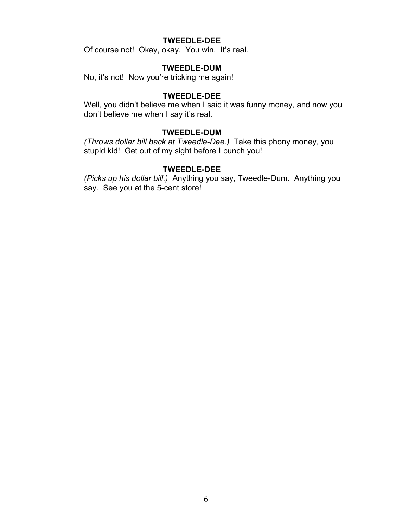### **TWEEDLE-DEE**

Of course not! Okay, okay. You win. It's real.

### **TWEEDLE-DUM**

No, it's not! Now you're tricking me again!

### **TWEEDLE-DEE**

Well, you didn't believe me when I said it was funny money, and now you don't believe me when I say it's real.

#### **TWEEDLE-DUM**

*(Throws dollar bill back at Tweedle-Dee.)* Take this phony money, you stupid kid! Get out of my sight before I punch you!

### **TWEEDLE-DEE**

*(Picks up his dollar bill.)* Anything you say, Tweedle-Dum. Anything you say. See you at the 5-cent store!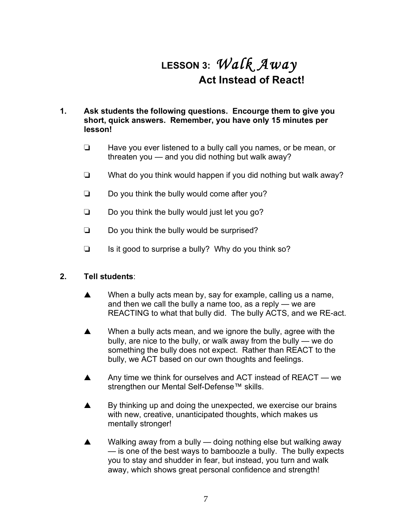## **LESSON 3:** *Walk Away* **Act Instead of React!**

### **1. Ask students the following questions. Encourge them to give you short, quick answers. Remember, you have only 15 minutes per lesson!**

- ❏ Have you ever listened to a bully call you names, or be mean, or threaten you — and you did nothing but walk away?
- ❏ What do you think would happen if you did nothing but walk away?
- ❏ Do you think the bully would come after you?
- ❏ Do you think the bully would just let you go?
- ❏ Do you think the bully would be surprised?
- ❏ Is it good to surprise a bully? Why do you think so?

- ▲ When a bully acts mean by, say for example, calling us a name, and then we call the bully a name too, as a reply — we are REACTING to what that bully did. The bully ACTS, and we RE-act.
- ▲ When a bully acts mean, and we ignore the bully, agree with the bully, are nice to the bully, or walk away from the bully — we do something the bully does not expect. Rather than REACT to the bully, we ACT based on our own thoughts and feelings.
- ▲ Any time we think for ourselves and ACT instead of REACT we strengthen our Mental Self-Defense™ skills.
- ▲ By thinking up and doing the unexpected, we exercise our brains with new, creative, unanticipated thoughts, which makes us mentally stronger!
- ▲ Walking away from a bully doing nothing else but walking away — is one of the best ways to bamboozle a bully. The bully expects you to stay and shudder in fear, but instead, you turn and walk away, which shows great personal confidence and strength!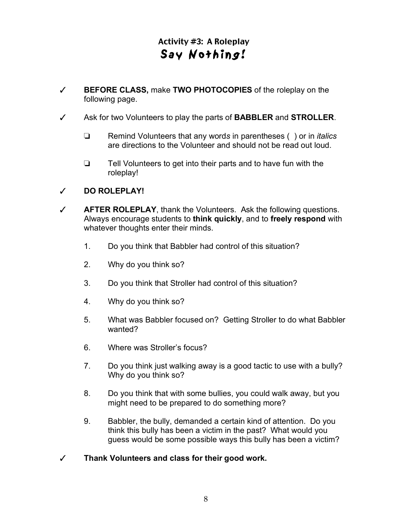### Activity #3: A Roleplay Say Noth ing!

- ✓ **BEFORE CLASS,** make **TWO PHOTOCOPIES** of the roleplay on the following page.
- ✓ Ask for two Volunteers to play the parts of **BABBLER** and **STROLLER**.
	- ❏ Remind Volunteers that any word*s* in parentheses ( ) or in *italics*  are directions to the Volunteer and should not be read out loud.
	- ❏ Tell Volunteers to get into their parts and to have fun with the roleplay!

### ✓ **DO ROLEPLAY!**

- ✓ **AFTER ROLEPLAY**, thank the Volunteers. Ask the following questions. Always encourage students to **think quickly**, and to **freely respond** with whatever thoughts enter their minds.
	- 1. Do you think that Babbler had control of this situation?
	- 2. Why do you think so?
	- 3. Do you think that Stroller had control of this situation?
	- 4. Why do you think so?
	- 5. What was Babbler focused on? Getting Stroller to do what Babbler wanted?
	- 6. Where was Stroller's focus?
	- 7. Do you think just walking away is a good tactic to use with a bully? Why do you think so?
	- 8. Do you think that with some bullies, you could walk away, but you might need to be prepared to do something more?
	- 9. Babbler, the bully, demanded a certain kind of attention. Do you think this bully has been a victim in the past? What would you guess would be some possible ways this bully has been a victim?

### ✓ **Thank Volunteers and class for their good work.**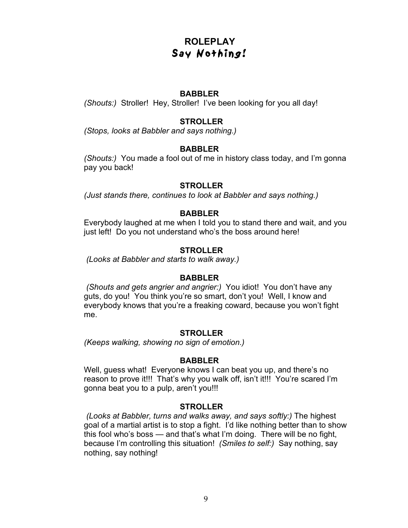### **ROLEPLAY** Say Nothing!

### **BABBLER**

*(Shouts:)* Stroller! Hey, Stroller! I've been looking for you all day!

### **STROLLER**

*(Stops, looks at Babbler and says nothing.)*

### **BABBLER**

*(Shouts:)* You made a fool out of me in history class today, and I'm gonna pay you back!

### **STROLLER**

*(Just stands there, continues to look at Babbler and says nothing.)*

### **BABBLER**

Everybody laughed at me when I told you to stand there and wait, and you just left! Do you not understand who's the boss around here!

### **STROLLER**

 *(Looks at Babbler and starts to walk away.)*

### **BABBLER**

*(Shouts and gets angrier and angrier:)* You idiot! You don't have any guts, do you! You think you're so smart, don't you! Well, I know and everybody knows that you're a freaking coward, because you won't fight me.

### **STROLLER**

*(Keeps walking, showing no sign of emotion.)*

### **BABBLER**

Well, guess what! Everyone knows I can beat you up, and there's no reason to prove it!!! That's why you walk off, isn't it!!! You're scared I'm gonna beat you to a pulp, aren't you!!!

### **STROLLER**

 *(Looks at Babbler, turns and walks away, and says softly:)* The highest goal of a martial artist is to stop a fight. I'd like nothing better than to show this fool who's boss — and that's what I'm doing. There will be no fight, because I'm controlling this situation! *(Smiles to self:)* Say nothing, say nothing, say nothing!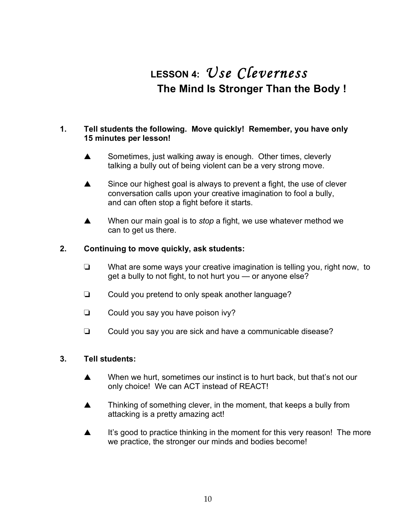## **LESSON 4:** *Use Cleverness* **The Mind Is Stronger Than the Body !**

### **1. Tell students the following. Move quickly! Remember, you have only 15 minutes per lesson!**

- ▲ Sometimes, just walking away is enough. Other times, cleverly talking a bully out of being violent can be a very strong move.
- ▲ Since our highest goal is always to prevent a fight, the use of clever conversation calls upon your creative imagination to fool a bully, and can often stop a fight before it starts.
- ▲ When our main goal is to *stop* a fight, we use whatever method we can to get us there.

### **2. Continuing to move quickly, ask students:**

- ❏ What are some ways your creative imagination is telling you, right now, to get a bully to not fight, to not hurt you — or anyone else?
- ❏ Could you pretend to only speak another language?
- ❏ Could you say you have poison ivy?
- ❏ Could you say you are sick and have a communicable disease?

- ▲ When we hurt, sometimes our instinct is to hurt back, but that's not our only choice! We can ACT instead of REACT!
- ▲ Thinking of something clever, in the moment, that keeps a bully from attacking is a pretty amazing act!
- ▲ It's good to practice thinking in the moment for this very reason! The more we practice, the stronger our minds and bodies become!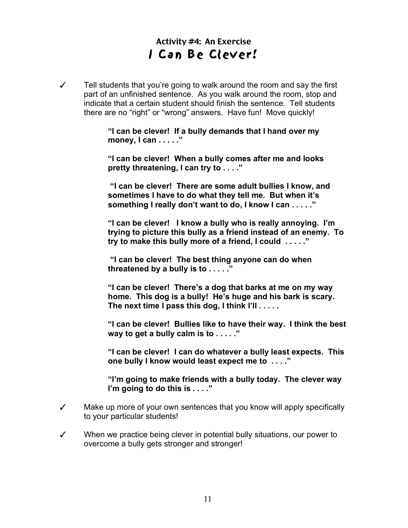### Activity #4: An Exercise I Can Be Clever!

✓ Tell students that you're going to walk around the room and say the first part of an unfinished sentence. As you walk around the room, stop and indicate that a certain student should finish the sentence. Tell students there are no "right" or "wrong" answers. Have fun! Move quickly!

> **"I can be clever! If a bully demands that I hand over my money, I can . . . . ."**

**"I can be clever! When a bully comes after me and looks pretty threatening, I can try to . . . ."**

 **"I can be clever! There are some adult bullies I know, and sometimes I have to do what they tell me. But when it's something I really don't want to do, I know I can . . . . ."**

**"I can be clever! I know a bully who is really annoying. I'm trying to picture this bully as a friend instead of an enemy. To try to make this bully more of a friend, I could . . . . ."**

 **"I can be clever! The best thing anyone can do when threatened by a bully is to . . . . ."**

**"I can be clever! There's a dog that barks at me on my way home. This dog is a bully! He's huge and his bark is scary. The next time I pass this dog, I think I'll . . . . .**

**"I can be clever! Bullies like to have their way. I think the best way to get a bully calm is to . . . . ."**

**"I can be clever! I can do whatever a bully least expects. This one bully I know would least expect me to . . . ."**

**"I'm going to make friends with a bully today. The clever way I'm going to do this is . . . ."**

- ✓ Make up more of your own sentences that you know will apply specifically to your particular students!
- ✓ When we practice being clever in potential bully situations, our power to overcome a bully gets stronger and stronger!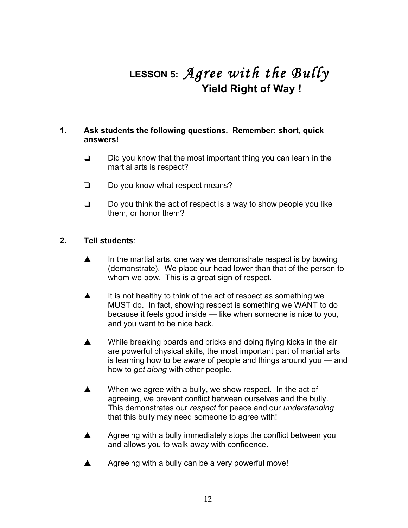## **LESSON 5:** *Agree with the Bully* **Yield Right of Way !**

### **1. Ask students the following questions. Remember: short, quick answers!**

- ❏ Did you know that the most important thing you can learn in the martial arts is respect?
- ❏ Do you know what respect means?
- ❏ Do you think the act of respect is a way to show people you like them, or honor them?

- ▲ In the martial arts, one way we demonstrate respect is by bowing (demonstrate). We place our head lower than that of the person to whom we bow. This is a great sign of respect.
- ▲ It is not healthy to think of the act of respect as something we MUST do. In fact, showing respect is something we WANT to do because it feels good inside — like when someone is nice to you, and you want to be nice back.
- ▲ While breaking boards and bricks and doing flying kicks in the air are powerful physical skills, the most important part of martial arts is learning how to be *aware* of people and things around you — and how to *get along* with other people.
- ▲ When we agree with a bully, we show respect. In the act of agreeing, we prevent conflict between ourselves and the bully. This demonstrates our *respect* for peace and our *understanding* that this bully may need someone to agree with!
- ▲ Agreeing with a bully immediately stops the conflict between you and allows you to walk away with confidence.
- ▲ Agreeing with a bully can be a very powerful move!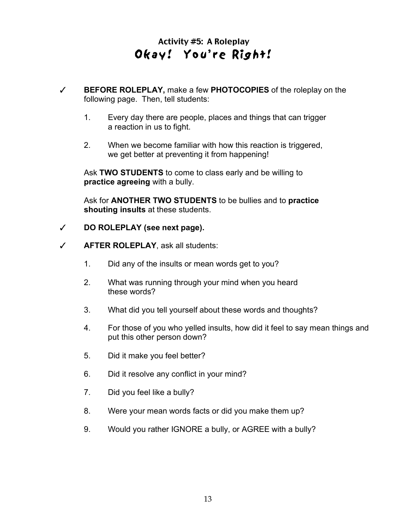### Activity #5: A Roleplay Okay! You're Right!

- ✓ **BEFORE ROLEPLAY,** make a few **PHOTOCOPIES** of the roleplay on the following page. Then, tell students:
	- 1. Every day there are people, places and things that can trigger a reaction in us to fight.
	- 2. When we become familiar with how this reaction is triggered, we get better at preventing it from happening!

Ask **TWO STUDENTS** to come to class early and be willing to **practice agreeing** with a bully.

Ask for **ANOTHER TWO STUDENTS** to be bullies and to **practice shouting insults** at these students.

### ✓ **DO ROLEPLAY (see next page).**

- ✓ **AFTER ROLEPLAY**, ask all students:
	- 1. Did any of the insults or mean words get to you?
	- 2. What was running through your mind when you heard these words?
	- 3. What did you tell yourself about these words and thoughts?
	- 4. For those of you who yelled insults, how did it feel to say mean things and put this other person down?
	- 5. Did it make you feel better?
	- 6. Did it resolve any conflict in your mind?
	- 7. Did you feel like a bully?
	- 8. Were your mean words facts or did you make them up?
	- 9. Would you rather IGNORE a bully, or AGREE with a bully?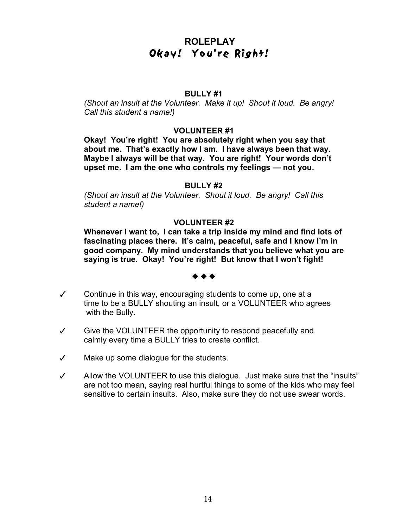### **ROLEPLAY** Okay! You're Right!

### **BULLY #1**

*(Shout an insult at the Volunteer. Make it up! Shout it loud. Be angry! Call this student a name!)*

#### **VOLUNTEER #1**

**Okay! You're right! You are absolutely right when you say that about me. That's exactly how I am. I have always been that way. Maybe I always will be that way. You are right! Your words don't upset me. I am the one who controls my feelings — not you.**

#### **BULLY #2**

*(Shout an insult at the Volunteer. Shout it loud. Be angry! Call this student a name!)*

### **VOLUNTEER #2**

**Whenever I want to, I can take a trip inside my mind and find lots of fascinating places there. It's calm, peaceful, safe and I know I'm in good company. My mind understands that you believe what you are saying is true. Okay! You're right! But know that I won't fight!**

#### ◆ ◆ ◆

- ✓ Continue in this way, encouraging students to come up, one at a time to be a BULLY shouting an insult, or a VOLUNTEER who agrees with the Bully.
- ✓ Give the VOLUNTEER the opportunity to respond peacefully and calmly every time a BULLY tries to create conflict.
- ✓ Make up some dialogue for the students.
- ✓ Allow the VOLUNTEER to use this dialogue. Just make sure that the "insults" are not too mean, saying real hurtful things to some of the kids who may feel sensitive to certain insults. Also, make sure they do not use swear words.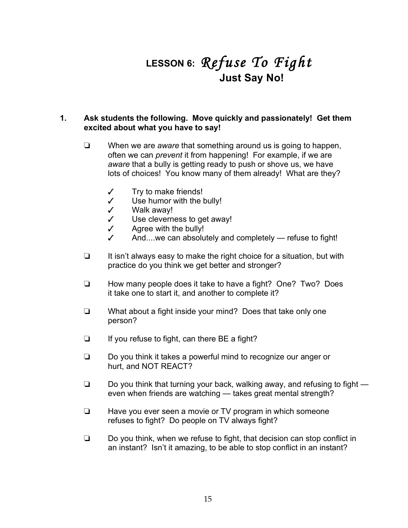## **LESSON 6:** *Refuse To Fight* **Just Say No!**

### **1. Ask students the following. Move quickly and passionately! Get them excited about what you have to say!**

- ❏ When we are *aware* that something around us is going to happen, often we can *prevent* it from happening! For example, if we are *aware* that a bully is getting ready to push or shove us, we have lots of choices! You know many of them already! What are they?
	- ✓ Try to make friends!
	- ✓ Use humor with the bully!
	- ✓ Walk away!
	- ✓ Use cleverness to get away!
	- $\checkmark$  Agree with the bully!
	- And....we can absolutely and completely refuse to fight!
- ❏ It isn't always easy to make the right choice for a situation, but with practice do you think we get better and stronger?
- ❏ How many people does it take to have a fight? One? Two? Does it take one to start it, and another to complete it?
- ❏ What about a fight inside your mind? Does that take only one person?
- ❏ If you refuse to fight, can there BE a fight?
- ❏ Do you think it takes a powerful mind to recognize our anger or hurt, and NOT REACT?
- ❏ Do you think that turning your back, walking away, and refusing to fight even when friends are watching — takes great mental strength?
- ❏ Have you ever seen a movie or TV program in which someone refuses to fight? Do people on TV always fight?
- ❏ Do you think, when we refuse to fight, that decision can stop conflict in an instant? Isn't it amazing, to be able to stop conflict in an instant?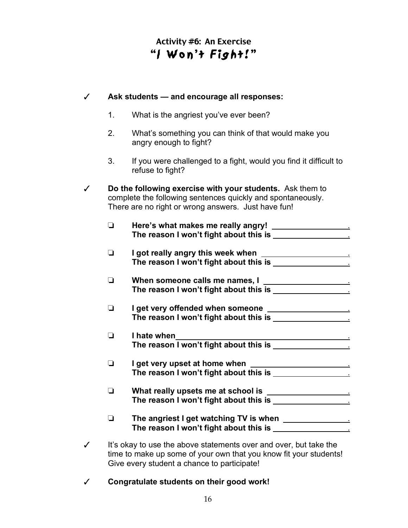### Activity #6: An Exercise "I Won't Fight!"

| ✓ | Ask students - and encourage all responses: |                                                                                                                                                                                 |  |
|---|---------------------------------------------|---------------------------------------------------------------------------------------------------------------------------------------------------------------------------------|--|
|   | 1.                                          | What is the angriest you've ever been?                                                                                                                                          |  |
|   | 2.                                          | What's something you can think of that would make you<br>angry enough to fight?                                                                                                 |  |
|   | 3.                                          | If you were challenged to a fight, would you find it difficult to<br>refuse to fight?                                                                                           |  |
|   |                                             | Do the following exercise with your students. Ask them to<br>complete the following sentences quickly and spontaneously.<br>There are no right or wrong answers. Just have fun! |  |
|   | $\Box$                                      |                                                                                                                                                                                 |  |
|   | $\Box$                                      |                                                                                                                                                                                 |  |
|   |                                             | When someone calls me names, I                                                                                                                                                  |  |
|   | $\Box$                                      |                                                                                                                                                                                 |  |
|   | $\Box$                                      | I hate when                                                                                                                                                                     |  |
|   | $\Box$                                      |                                                                                                                                                                                 |  |
|   | $\Box$                                      | What really upsets me at school is ______________________                                                                                                                       |  |
|   | ❏                                           |                                                                                                                                                                                 |  |
| ✓ |                                             | It's okay to use the above statements over and over, but take the<br>time to make up some of your own that you know fit your students!                                          |  |

✓ **Congratulate students on their good work!**

Give every student a chance to participate!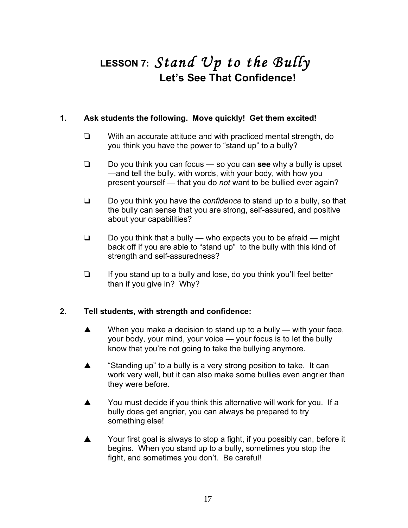## **LESSON 7:** *Stand Up to the Bully* **Let's See That Confidence!**

### **1. Ask students the following. Move quickly! Get them excited!**

- ❏ With an accurate attitude and with practiced mental strength, do you think you have the power to "stand up" to a bully?
- ❏ Do you think you can focus so you can **see** why a bully is upset —and tell the bully, with words, with your body, with how you present yourself — that you do *not* want to be bullied ever again?
- ❏ Do you think you have the *confidence* to stand up to a bully, so that the bully can sense that you are strong, self-assured, and positive about your capabilities?
- ❏ Do you think that a bully who expects you to be afraid might back off if you are able to "stand up" to the bully with this kind of strength and self-assuredness?
- ❏ If you stand up to a bully and lose, do you think you'll feel better than if you give in? Why?

### **2. Tell students, with strength and confidence:**

- ▲ When you make a decision to stand up to a bully with your face, your body, your mind, your voice — your focus is to let the bully know that you're not going to take the bullying anymore.
- ▲ "Standing up" to a bully is a very strong position to take. It can work very well, but it can also make some bullies even angrier than they were before.
- ▲ You must decide if you think this alternative will work for you. If a bully does get angrier, you can always be prepared to try something else!
- ▲ Your first goal is always to stop a fight, if you possibly can, before it begins. When you stand up to a bully, sometimes you stop the fight, and sometimes you don't. Be careful!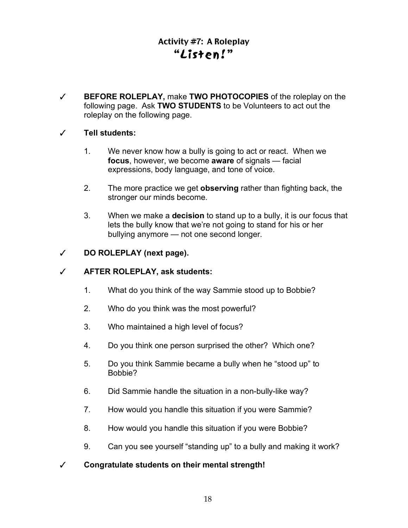### Activity #7: A Roleplay "L isten!"

✓ **BEFORE ROLEPLAY,** make **TWO PHOTOCOPIES** of the roleplay on the following page. Ask **TWO STUDENTS** to be Volunteers to act out the roleplay on the following page.

### ✓ **Tell students:**

- 1. We never know how a bully is going to act or react. When we **focus**, however, we become **aware** of signals — facial expressions, body language, and tone of voice.
- 2. The more practice we get **observing** rather than fighting back, the stronger our minds become.
- 3. When we make a **decision** to stand up to a bully, it is our focus that lets the bully know that we're not going to stand for his or her bullying anymore — not one second longer.

### ✓ **DO ROLEPLAY (next page).**

### ✓ **AFTER ROLEPLAY, ask students:**

- 1. What do you think of the way Sammie stood up to Bobbie?
- 2. Who do you think was the most powerful?
- 3. Who maintained a high level of focus?
- 4. Do you think one person surprised the other? Which one?
- 5. Do you think Sammie became a bully when he "stood up" to Bobbie?
- 6. Did Sammie handle the situation in a non-bully-like way?
- 7. How would you handle this situation if you were Sammie?
- 8. How would you handle this situation if you were Bobbie?
- 9. Can you see yourself "standing up" to a bully and making it work?
- ✓ **Congratulate students on their mental strength!**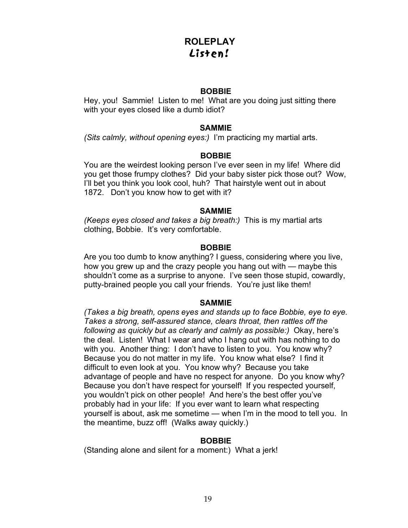### **ROLEPLAY** Listen!

### **BOBBIE**

Hey, you! Sammie! Listen to me! What are you doing just sitting there with your eyes closed like a dumb idiot?

### **SAMMIE**

*(Sits calmly, without opening eyes:)* I'm practicing my martial arts.

### **BOBBIE**

You are the weirdest looking person I've ever seen in my life! Where did you get those frumpy clothes? Did your baby sister pick those out? Wow, I'll bet you think you look cool, huh? That hairstyle went out in about 1872. Don't you know how to get with it?

### **SAMMIE**

*(Keeps eyes closed and takes a big breath:)* This is my martial arts clothing, Bobbie. It's very comfortable.

### **BOBBIE**

Are you too dumb to know anything? I guess, considering where you live, how you grew up and the crazy people you hang out with — maybe this shouldn't come as a surprise to anyone. I've seen those stupid, cowardly, putty-brained people you call your friends. You're just like them!

### **SAMMIE**

*(Takes a big breath, opens eyes and stands up to face Bobbie, eye to eye. Takes a strong, self-assured stance, clears throat, then rattles off the following as quickly but as clearly and calmly as possible:)* Okay, here's the deal. Listen! What I wear and who I hang out with has nothing to do with you. Another thing: I don't have to listen to you. You know why? Because you do not matter in my life. You know what else? I find it difficult to even look at you. You know why? Because you take advantage of people and have no respect for anyone. Do you know why? Because you don't have respect for yourself! If you respected yourself, you wouldn't pick on other people! And here's the best offer you've probably had in your life: If you ever want to learn what respecting yourself is about, ask me sometime — when I'm in the mood to tell you. In the meantime, buzz off! (Walks away quickly.)

### **BOBBIE**

(Standing alone and silent for a moment:) What a jerk!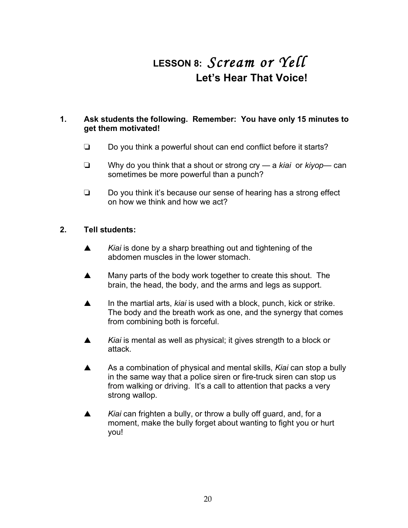## **LESSON 8:** *Scream or Yell* **Let's Hear That Voice!**

### **1. Ask students the following. Remember: You have only 15 minutes to get them motivated!**

- ❏ Do you think a powerful shout can end conflict before it starts?
- ❏ Why do you think that a shout or strong cry a *kiai* or *kiyop* can sometimes be more powerful than a punch?
- ❏ Do you think it's because our sense of hearing has a strong effect on how we think and how we act?

- ▲ *Kiai* is done by a sharp breathing out and tightening of the abdomen muscles in the lower stomach.
- ▲ Many parts of the body work together to create this shout. The brain, the head, the body, and the arms and legs as support.
- ▲ In the martial arts, *kiai* is used with a block, punch, kick or strike. The body and the breath work as one, and the synergy that comes from combining both is forceful.
- ▲ *Kiai* is mental as well as physical; it gives strength to a block or attack.
- ▲ As a combination of physical and mental skills, *Kiai* can stop a bully in the same way that a police siren or fire-truck siren can stop us from walking or driving. It's a call to attention that packs a very strong wallop.
- ▲ *Kiai* can frighten a bully, or throw a bully off guard, and, for a moment, make the bully forget about wanting to fight you or hurt you!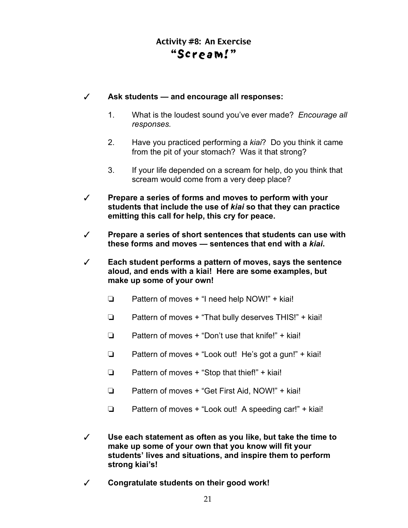### Activity #8: An Exercise "Scream!"

### ✓ **Ask students — and encourage all responses:**

- 1. What is the loudest sound you've ever made? *Encourage all responses.*
- 2. Have you practiced performing a *kiai*? Do you think it came from the pit of your stomach? Was it that strong?
- 3. If your life depended on a scream for help, do you think that scream would come from a very deep place?
- ✓ **Prepare a series of forms and moves to perform with your students that include the use of** *kiai* **so that they can practice emitting this call for help, this cry for peace.**
- ✓ **Prepare a series of short sentences that students can use with these forms and moves — sentences that end with a** *kiai***.**
- ✓ **Each student performs a pattern of moves, says the sentence aloud, and ends with a kiai! Here are some examples, but make up some of your own!**
	- ❏ Pattern of moves + "I need help NOW!" + kiai!
	- ❏ Pattern of moves + "That bully deserves THIS!" + kiai!
	- ❏ Pattern of moves + "Don't use that knife!" + kiai!
	- ❏ Pattern of moves + "Look out! He's got a gun!" + kiai!
	- ❏ Pattern of moves + "Stop that thief!" + kiai!
	- ❏ Pattern of moves + "Get First Aid, NOW!" + kiai!
	- ❏ Pattern of moves + "Look out! A speeding car!" + kiai!
- ✓ **Use each statement as often as you like, but take the time to make up some of your own that you know will fit your students' lives and situations, and inspire them to perform strong kiai's!**
- ✓ **Congratulate students on their good work!**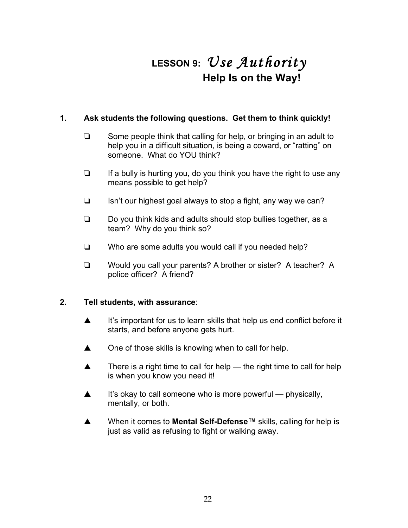## **LESSON 9:** *Use Authority* **Help Is on the Way!**

### **1. Ask students the following questions. Get them to think quickly!**

- ❏ Some people think that calling for help, or bringing in an adult to help you in a difficult situation, is being a coward, or "ratting" on someone. What do YOU think?
- ❏ If a bully is hurting you, do you think you have the right to use any means possible to get help?
- ❏ Isn't our highest goal always to stop a fight, any way we can?
- ❏ Do you think kids and adults should stop bullies together, as a team? Why do you think so?
- ❏ Who are some adults you would call if you needed help?
- ❏ Would you call your parents? A brother or sister? A teacher? A police officer? A friend?

### **2. Tell students, with assurance**:

- ▲ It's important for us to learn skills that help us end conflict before it starts, and before anyone gets hurt.
- ▲ One of those skills is knowing when to call for help.
- $\blacktriangle$  There is a right time to call for help the right time to call for help is when you know you need it!
- $\blacktriangle$  It's okay to call someone who is more powerful physically, mentally, or both.
- ▲ When it comes to **Mental Self-Defense™** skills, calling for help is just as valid as refusing to fight or walking away.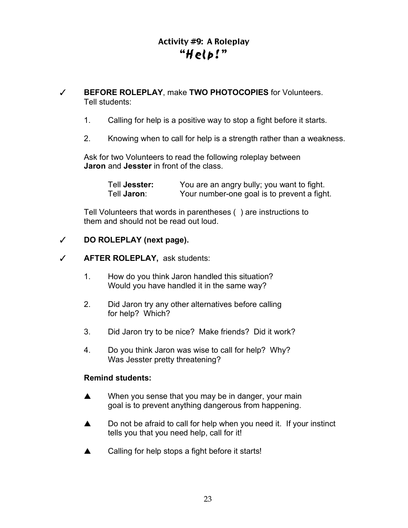### Activity #9: A Roleplay "Help!"

- ✓ **BEFORE ROLEPLAY**, make **TWO PHOTOCOPIES** for Volunteers. Tell students:
	- 1. Calling for help is a positive way to stop a fight before it starts.
	- 2. Knowing when to call for help is a strength rather than a weakness.

Ask for two Volunteers to read the following roleplay between **Jaron** and **Jesster** in front of the class.

| Tell Jesster: | You are an angry bully; you want to fight.  |
|---------------|---------------------------------------------|
| Tell Jaron:   | Your number-one goal is to prevent a fight. |

Tell Volunteers that words in parentheses ( ) are instructions to them and should not be read out loud.

### ✓ **DO ROLEPLAY (next page).**

### ✓ **AFTER ROLEPLAY,** ask students:

- 1. How do you think Jaron handled this situation? Would you have handled it in the same way?
- 2. Did Jaron try any other alternatives before calling for help? Which?
- 3. Did Jaron try to be nice? Make friends? Did it work?
- 4. Do you think Jaron was wise to call for help? Why? Was Jesster pretty threatening?

### **Remind students:**

- ▲ When you sense that you may be in danger, your main goal is to prevent anything dangerous from happening.
- ▲ Do not be afraid to call for help when you need it. If your instinct tells you that you need help, call for it!
- ▲ Calling for help stops a fight before it starts!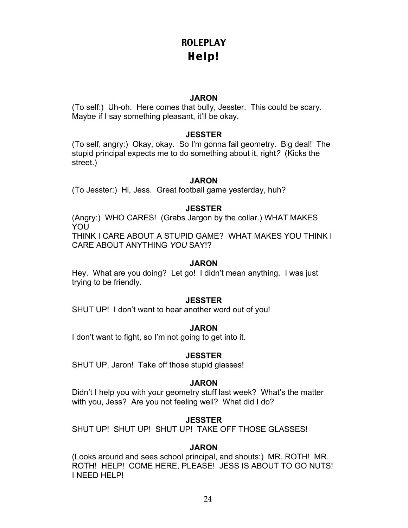### **ROLEPLAY** Help!

### **JARON**

(To self:) Uh-oh. Here comes that bully, Jesster. This could be scary. Maybe if I say something pleasant, it'll be okay.

### **JESSTER**

(To self, angry:) Okay, okay. So I'm gonna fail geometry. Big deal! The stupid principal expects me to do something about it, right*?* (Kicks the street.)

### **JARON**

(To Jesster:) Hi, Jess. Great football game yesterday, huh?

### **JESSTER**

(Angry:) WHO CARES! (Grabs Jargon by the collar.) WHAT MAKES YOU THINK I CARE ABOUT A STUPID GAME? WHAT MAKES YOU THINK I CARE ABOUT ANYTHING *YOU* SAY!?

### **JARON**

Hey. What are you doing? Let go! I didn't mean anything. I was just trying to be friendly.

### **JESSTER**

SHUT UP! I don't want to hear another word out of you!

### **JARON**

I don't want to fight, so I'm not going to get into it.

### **JESSTER**

SHUT UP, Jaron! Take off those stupid glasses!

### **JARON**

Didn't I help you with your geometry stuff last week? What's the matter with you, Jess? Are you not feeling well? What did I do?

### **JESSTER**

SHUT UP! SHUT UP! SHUT UP! TAKE OFF THOSE GLASSES!

### **JARON**

(Looks around and sees school principal, and shouts:) MR. ROTH! MR. ROTH! HELP! COME HERE, PLEASE! JESS IS ABOUT TO GO NUTS! I NEED HELP!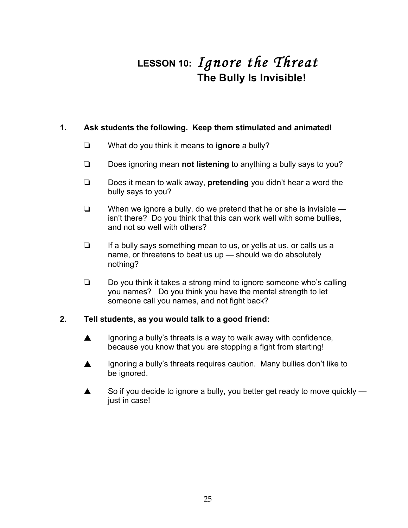## **LESSON 10:** *Ignore the Threat* **The Bully Is Invisible!**

### **1. Ask students the following. Keep them stimulated and animated!**

- ❏ What do you think it means to **ignore** a bully?
- ❏ Does ignoring mean **not listening** to anything a bully says to you?
- ❏ Does it mean to walk away, **pretending** you didn't hear a word the bully says to you?
- ❏ When we ignore a bully, do we pretend that he or she is invisible isn't there? Do you think that this can work well with some bullies, and not so well with others?
- ❏ If a bully says something mean to us, or yells at us, or calls us a name, or threatens to beat us up — should we do absolutely nothing?
- ❏ Do you think it takes a strong mind to ignore someone who's calling you names? Do you think you have the mental strength to let someone call you names, and not fight back?

### **2. Tell students, as you would talk to a good friend:**

- ▲ Ignoring a bully's threats is a way to walk away with confidence, because you know that you are stopping a fight from starting!
- ▲ Ignoring a bully's threats requires caution. Many bullies don't like to be ignored.
- $\triangle$  So if you decide to ignore a bully, you better get ready to move quickly  $$ just in case!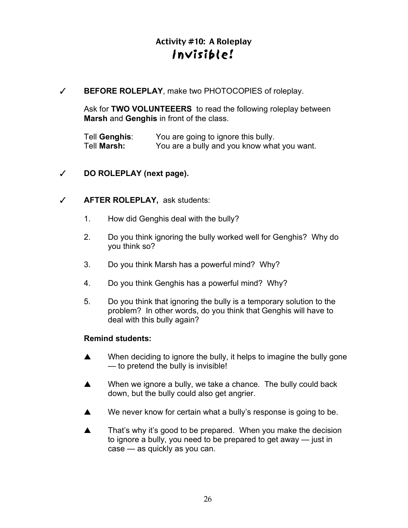### Activity #10: A Roleplay Invis ible!

✓ **BEFORE ROLEPLAY**, make two PHOTOCOPIES of roleplay.

Ask for **TWO VOLUNTEEERS** to read the following roleplay between **Marsh** and **Genghis** in front of the class.

Tell **Genghis**: You are going to ignore this bully. Tell **Marsh:** You are a bully and you know what you want.

### ✓ **DO ROLEPLAY (next page).**

### ✓ **AFTER ROLEPLAY,** ask students:

- 1. How did Genghis deal with the bully?
- 2. Do you think ignoring the bully worked well for Genghis? Why do you think so?
- 3. Do you think Marsh has a powerful mind? Why?
- 4. Do you think Genghis has a powerful mind? Why?
- 5. Do you think that ignoring the bully is a temporary solution to the problem? In other words, do you think that Genghis will have to deal with this bully again?

### **Remind students:**

- ▲ When deciding to ignore the bully, it helps to imagine the bully gone — to pretend the bully is invisible!
- ▲ When we ignore a bully, we take a chance. The bully could back down, but the bully could also get angrier.
- ▲ We never know for certain what a bully's response is going to be.
- ▲ That's why it's good to be prepared. When you make the decision to ignore a bully, you need to be prepared to get away — just in case — as quickly as you can.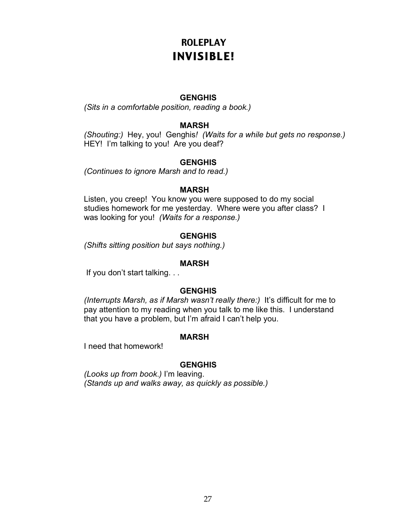### **ROLEPLAY** INVISIBLE!

### **GENGHIS**

*(Sits in a comfortable position, reading a book.)*

### **MARSH**

*(Shouting:)* Hey, you! Genghis*! (Waits for a while but gets no response.)* HEY! I'm talking to you! Are you deaf?

### **GENGHIS**

*(Continues to ignore Marsh and to read.)*

#### **MARSH**

Listen, you creep! You know you were supposed to do my social studies homework for me yesterday. Where were you after class? I was looking for you! *(Waits for a response.)*

### **GENGHIS**

*(Shifts sitting position but says nothing.)*

#### **MARSH**

If you don't start talking. . .

### **GENGHIS**

*(Interrupts Marsh, as if Marsh wasn't really there:)* It's difficult for me to pay attention to my reading when you talk to me like this. I understand that you have a problem, but I'm afraid I can't help you.

### **MARSH**

I need that homework!

### **GENGHIS**

*(Looks up from book*.*)* I'm leaving. *(Stands up and walks away, as quickly as possible.)*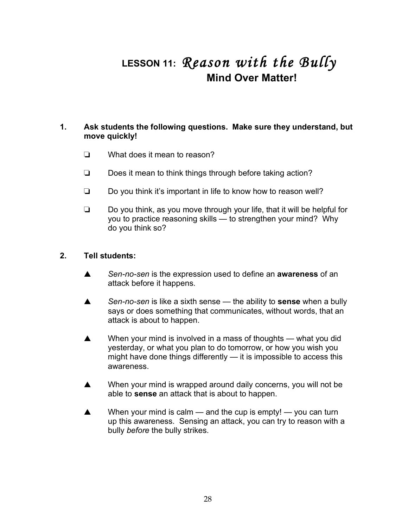## **LESSON 11:** *Reason with the Bully* **Mind Over Matter!**

### **1. Ask students the following questions. Make sure they understand, but move quickly!**

- ❏ What does it mean to reason?
- ❏ Does it mean to think things through before taking action?
- ❏ Do you think it's important in life to know how to reason well?
- ❏ Do you think, as you move through your life, that it will be helpful for you to practice reasoning skills — to strengthen your mind? Why do you think so?

- ▲ *Sen-no-sen* is the expression used to define an **awareness** of an attack before it happens.
- ▲ *Sen-no-sen* is like a sixth sense the ability to **sense** when a bully says or does something that communicates, without words, that an attack is about to happen.
- ▲ When your mind is involved in a mass of thoughts what you did yesterday, or what you plan to do tomorrow, or how you wish you might have done things differently — it is impossible to access this awareness.
- ▲ When your mind is wrapped around daily concerns, you will not be able to **sense** an attack that is about to happen.
- $\triangle$  When your mind is calm and the cup is empty! you can turn up this awareness. Sensing an attack, you can try to reason with a bully *before* the bully strikes.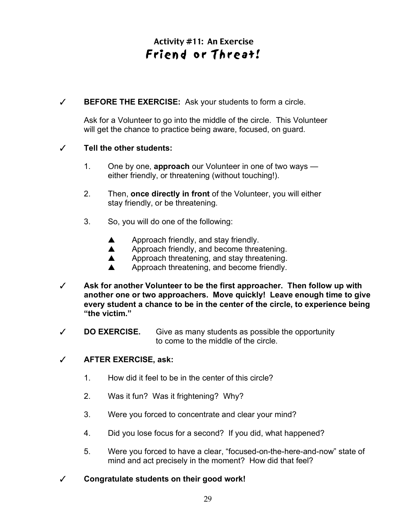### Activity #11: An Exercise Friend or Threat!

✓ **BEFORE THE EXERCISE:** Ask your students to form a circle.

Ask for a Volunteer to go into the middle of the circle. This Volunteer will get the chance to practice being aware, focused, on guard.

### ✓ **Tell the other students:**

- 1. One by one, **approach** our Volunteer in one of two ways either friendly, or threatening (without touching!).
- 2. Then, **once directly in front** of the Volunteer, you will either stay friendly, or be threatening.
- 3. So, you will do one of the following:
	- ▲ Approach friendly, and stay friendly.
	- ▲ Approach friendly, and become threatening.
	- ▲ Approach threatening, and stay threatening.
	- ▲ Approach threatening, and become friendly.
- ✓ **Ask for another Volunteer to be the first approacher. Then follow up with another one or two approachers. Move quickly! Leave enough time to give every student a chance to be in the center of the circle, to experience being "the victim."**
- ✓ **DO EXERCISE.** Give as many students as possible the opportunity to come to the middle of the circle.

### ✓ **AFTER EXERCISE, ask:**

- 1. How did it feel to be in the center of this circle?
- 2. Was it fun? Was it frightening? Why?
- 3. Were you forced to concentrate and clear your mind?
- 4. Did you lose focus for a second? If you did, what happened?
- 5. Were you forced to have a clear, "focused-on-the-here-and-now" state of mind and act precisely in the moment? How did that feel?
- ✓ **Congratulate students on their good work!**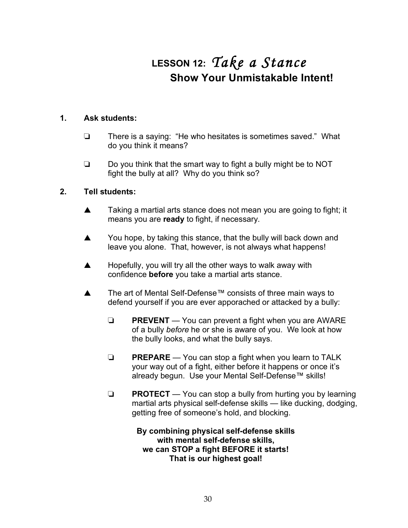## **LESSON 12:** *Take a Stance* **Show Your Unmistakable Intent!**

### **1. Ask students:**

- ❏ There is a saying: "He who hesitates is sometimes saved." What do you think it means?
- ❏ Do you think that the smart way to fight a bully might be to NOT fight the bully at all? Why do you think so?

### **2. Tell students:**

- ▲ Taking a martial arts stance does not mean you are going to fight; it means you are **ready** to fight, if necessary.
- ▲ You hope, by taking this stance, that the bully will back down and leave you alone. That, however, is not always what happens!
- ▲ Hopefully, you will try all the other ways to walk away with confidence **before** you take a martial arts stance.
- ▲ The art of Mental Self-Defense™ consists of three main ways to defend yourself if you are ever apporached or attacked by a bully:
	- ❏ **PREVENT** You can prevent a fight when you are AWARE of a bully *before* he or she is aware of you. We look at how the bully looks, and what the bully says.
	- ❏ **PREPARE** You can stop a fight when you learn to TALK your way out of a fight, either before it happens or once it's already begun. Use your Mental Self-Defense™ skills!
	- ❏ **PROTECT**  You can stop a bully from hurting you by learning martial arts physical self-defense skills — like ducking, dodging, getting free of someone's hold, and blocking.

**By combining physical self-defense skills with mental self-defense skills, we can STOP a fight BEFORE it starts! That is our highest goal!**